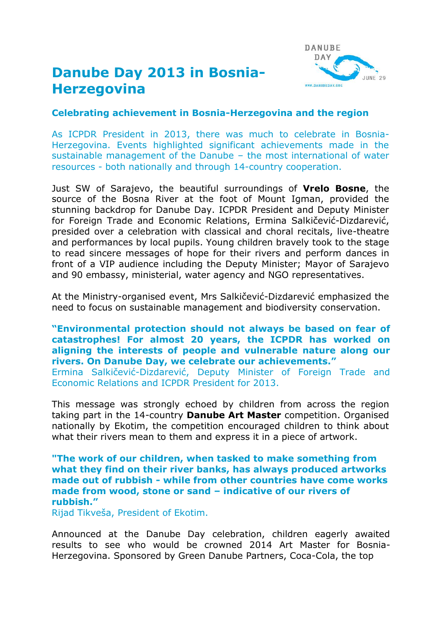# **Danube Day 2013 in Bosnia-Herzegovina**



### **Celebrating achievement in Bosnia-Herzegovina and the region**

As ICPDR President in 2013, there was much to celebrate in Bosnia-Herzegovina. Events highlighted significant achievements made in the sustainable management of the Danube – the most international of water resources - both nationally and through 14-country cooperation.

Just SW of Sarajevo, the beautiful surroundings of **Vrelo Bosne**, the source of the Bosna River at the foot of Mount Igman, provided the stunning backdrop for Danube Day. ICPDR President and Deputy Minister for Foreign Trade and Economic Relations, Ermina Salkičević-Dizdarević, presided over a celebration with classical and choral recitals, live-theatre and performances by local pupils. Young children bravely took to the stage to read sincere messages of hope for their rivers and perform dances in front of a VIP audience including the Deputy Minister; Mayor of Sarajevo and 90 embassy, ministerial, water agency and NGO representatives.

At the Ministry-organised event, Mrs Salkičević-Dizdarević emphasized the need to focus on sustainable management and biodiversity conservation.

#### **"Environmental protection should not always be based on fear of catastrophes! For almost 20 years, the ICPDR has worked on aligning the interests of people and vulnerable nature along our rivers. On Danube Day, we celebrate our achievements."**

Ermina Salkičević-Dizdarević, Deputy Minister of Foreign Trade and Economic Relations and ICPDR President for 2013.

This message was strongly echoed by children from across the region taking part in the 14-country **Danube Art Master** competition. Organised nationally by Ekotim, the competition encouraged children to think about what their rivers mean to them and express it in a piece of artwork.

#### **"The work of our children, when tasked to make something from what they find on their river banks, has always produced artworks made out of rubbish - while from other countries have come works made from wood, stone or sand – indicative of our rivers of rubbish."**

Rijad Tikveša, President of Ekotim.

Announced at the Danube Day celebration, children eagerly awaited results to see who would be crowned 2014 Art Master for Bosnia-Herzegovina. Sponsored by Green Danube Partners, Coca-Cola, the top